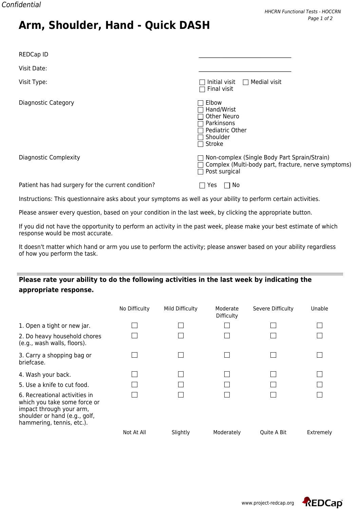| <b>REDCap ID</b>             |                                                                                                                      |
|------------------------------|----------------------------------------------------------------------------------------------------------------------|
| Visit Date:                  |                                                                                                                      |
| Visit Type:                  | Initial visit $\Box$ Medial visit<br>$\sim$<br>Final visit<br>П                                                      |
| Diagnostic Category          | Elbow<br>Hand/Wrist<br><b>Other Neuro</b><br>Parkinsons<br>Pediatric Other<br>Shoulder<br>Stroke                     |
| <b>Diagnostic Complexity</b> | Non-complex (Single Body Part Sprain/Strain)<br>Complex (Multi-body part, fracture, nerve symptoms)<br>Post surgical |

Patient has had surgery for the current condition?  $\Box$  Yes  $\Box$  No

**Arm, Shoulder, Hand - Quick DASH**

Instructions: This questionnaire asks about your symptoms as well as your ability to perform certain activities.

Please answer every question, based on your condition in the last week, by clicking the appropriate button.

If you did not have the opportunity to perform an activity in the past week, please make your best estimate of which response would be most accurate.

It doesn't matter which hand or arm you use to perform the activity; please answer based on your ability regardless of how you perform the task.

## **Please rate your ability to do the following activities in the last week by indicating the appropriate response.**

|                                                                                                                                                         | No Difficulty | Mild Difficulty | Moderate<br>Difficulty | Severe Difficulty | Unable    |
|---------------------------------------------------------------------------------------------------------------------------------------------------------|---------------|-----------------|------------------------|-------------------|-----------|
| 1. Open a tight or new jar.                                                                                                                             |               |                 |                        |                   |           |
| 2. Do heavy household chores<br>(e.g., wash walls, floors).                                                                                             |               |                 |                        |                   |           |
| 3. Carry a shopping bag or<br>briefcase.                                                                                                                |               |                 |                        |                   |           |
| 4. Wash your back.                                                                                                                                      |               |                 |                        |                   |           |
| 5. Use a knife to cut food.                                                                                                                             |               |                 |                        |                   |           |
| 6. Recreational activities in<br>which you take some force or<br>impact through your arm,<br>shoulder or hand (e.g., golf,<br>hammering, tennis, etc.). |               |                 |                        |                   |           |
|                                                                                                                                                         | Not At All    | Slightly        | Moderately             | Quite A Bit       | Extremely |